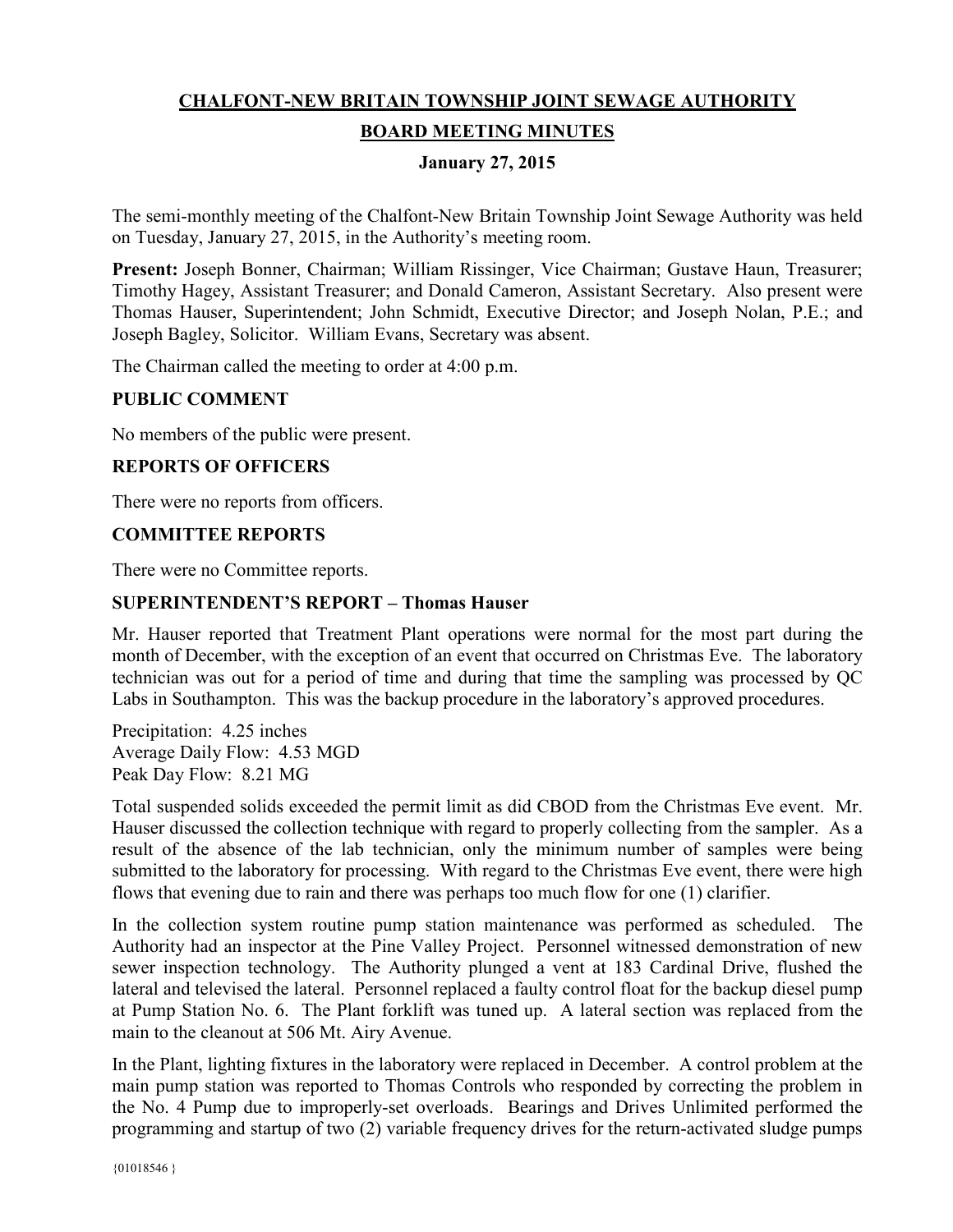# **CHALFONT-NEW BRITAIN TOWNSHIP JOINT SEWAGE AUTHORITY BOARD MEETING MINUTES**

# **January 27, 2015**

The semi-monthly meeting of the Chalfont-New Britain Township Joint Sewage Authority was held on Tuesday, January 27, 2015, in the Authority's meeting room.

**Present:** Joseph Bonner, Chairman; William Rissinger, Vice Chairman; Gustave Haun, Treasurer; Timothy Hagey, Assistant Treasurer; and Donald Cameron, Assistant Secretary. Also present were Thomas Hauser, Superintendent; John Schmidt, Executive Director; and Joseph Nolan, P.E.; and Joseph Bagley, Solicitor. William Evans, Secretary was absent.

The Chairman called the meeting to order at 4:00 p.m.

#### **PUBLIC COMMENT**

No members of the public were present.

# **REPORTS OF OFFICERS**

There were no reports from officers.

#### **COMMITTEE REPORTS**

There were no Committee reports.

#### **SUPERINTENDENT'S REPORT – Thomas Hauser**

Mr. Hauser reported that Treatment Plant operations were normal for the most part during the month of December, with the exception of an event that occurred on Christmas Eve. The laboratory technician was out for a period of time and during that time the sampling was processed by QC Labs in Southampton. This was the backup procedure in the laboratory's approved procedures.

Precipitation: 4.25 inches Average Daily Flow: 4.53 MGD Peak Day Flow: 8.21 MG

Total suspended solids exceeded the permit limit as did CBOD from the Christmas Eve event. Mr. Hauser discussed the collection technique with regard to properly collecting from the sampler. As a result of the absence of the lab technician, only the minimum number of samples were being submitted to the laboratory for processing. With regard to the Christmas Eve event, there were high flows that evening due to rain and there was perhaps too much flow for one (1) clarifier.

In the collection system routine pump station maintenance was performed as scheduled. The Authority had an inspector at the Pine Valley Project. Personnel witnessed demonstration of new sewer inspection technology. The Authority plunged a vent at 183 Cardinal Drive, flushed the lateral and televised the lateral. Personnel replaced a faulty control float for the backup diesel pump at Pump Station No. 6. The Plant forklift was tuned up. A lateral section was replaced from the main to the cleanout at 506 Mt. Airy Avenue.

In the Plant, lighting fixtures in the laboratory were replaced in December. A control problem at the main pump station was reported to Thomas Controls who responded by correcting the problem in the No. 4 Pump due to improperly-set overloads. Bearings and Drives Unlimited performed the programming and startup of two (2) variable frequency drives for the return-activated sludge pumps